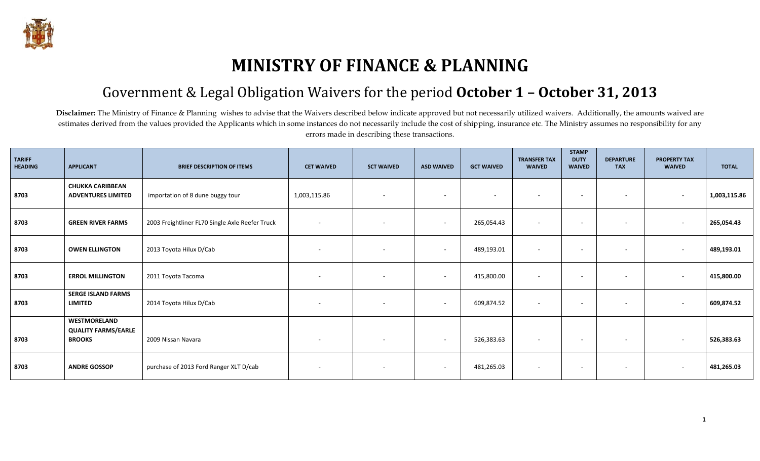

## **MINISTRY OF FINANCE & PLANNING**

## Government & Legal Obligation Waivers for the period **October 1 – October 31, 2013**

Disclaimer: The Ministry of Finance & Planning wishes to advise that the Waivers described below indicate approved but not necessarily utilized waivers. Additionally, the amounts waived are estimates derived from the values provided the Applicants which in some instances do not necessarily include the cost of shipping, insurance etc. The Ministry assumes no responsibility for any errors made in describing these transactions.

| <b>TARIFF</b><br><b>HEADING</b> | <b>APPLICANT</b>                                            | <b>BRIEF DESCRIPTION OF ITEMS</b>               | <b>CET WAIVED</b>        | <b>SCT WAIVED</b>        | <b>ASD WAIVED</b>        | <b>GCT WAIVED</b>        | <b>TRANSFER TAX</b><br><b>WAIVED</b> | <b>STAMP</b><br><b>DUTY</b><br><b>WAIVED</b> | <b>DEPARTURE</b><br><b>TAX</b> | <b>PROPERTY TAX</b><br><b>WAIVED</b> | <b>TOTAL</b> |
|---------------------------------|-------------------------------------------------------------|-------------------------------------------------|--------------------------|--------------------------|--------------------------|--------------------------|--------------------------------------|----------------------------------------------|--------------------------------|--------------------------------------|--------------|
| 8703                            | <b>CHUKKA CARIBBEAN</b><br><b>ADVENTURES LIMITED</b>        | importation of 8 dune buggy tour                | 1,003,115.86             | $\sim$                   | $\sim$                   | $\overline{\phantom{0}}$ | $\overline{\phantom{a}}$             | $\sim$                                       | $\sim$                         | $\overline{\phantom{a}}$             | 1,003,115.86 |
| 8703                            | <b>GREEN RIVER FARMS</b>                                    | 2003 Freightliner FL70 Single Axle Reefer Truck | $\overline{\phantom{a}}$ | $\sim$                   | $\overline{\phantom{a}}$ | 265,054.43               | $\overline{\phantom{a}}$             | $\overline{\phantom{a}}$                     | $\sim$                         | $\overline{\phantom{a}}$             | 265,054.43   |
| 8703                            | <b>OWEN ELLINGTON</b>                                       | 2013 Toyota Hilux D/Cab                         | $\sim$                   | $\sim$                   | $\overline{\phantom{a}}$ | 489,193.01               | $\overline{\phantom{a}}$             | $\overline{\phantom{a}}$                     | $\sim$                         | $\overline{\phantom{a}}$             | 489,193.01   |
| 8703                            | <b>ERROL MILLINGTON</b>                                     | 2011 Toyota Tacoma                              | $\overline{\phantom{a}}$ | $\overline{\phantom{a}}$ | $\overline{\phantom{a}}$ | 415,800.00               |                                      | $\overline{\phantom{a}}$                     | $\sim$                         | $\overline{\phantom{a}}$             | 415,800.00   |
| 8703                            | <b>SERGE ISLAND FARMS</b><br><b>LIMITED</b>                 | 2014 Toyota Hilux D/Cab                         | $\overline{\phantom{a}}$ | $\sim$                   | $\overline{\phantom{a}}$ | 609,874.52               | $\overline{\phantom{a}}$             | $\sim$                                       | $\sim$                         | $\overline{\phantom{a}}$             | 609,874.52   |
| 8703                            | WESTMORELAND<br><b>QUALITY FARMS/EARLE</b><br><b>BROOKS</b> | 2009 Nissan Navara                              | $\overline{\phantom{a}}$ | $\sim$                   | $\overline{\phantom{a}}$ | 526,383.63               |                                      | $\sim$                                       | $\sim$                         | $\overline{\phantom{a}}$             | 526,383.63   |
| 8703                            | <b>ANDRE GOSSOP</b>                                         | purchase of 2013 Ford Ranger XLT D/cab          | $\overline{a}$           | $\sim$                   | $\overline{\phantom{a}}$ | 481,265.03               | $\overline{\phantom{a}}$             | $\sim$                                       | $\sim$                         | $\overline{\phantom{a}}$             | 481,265.03   |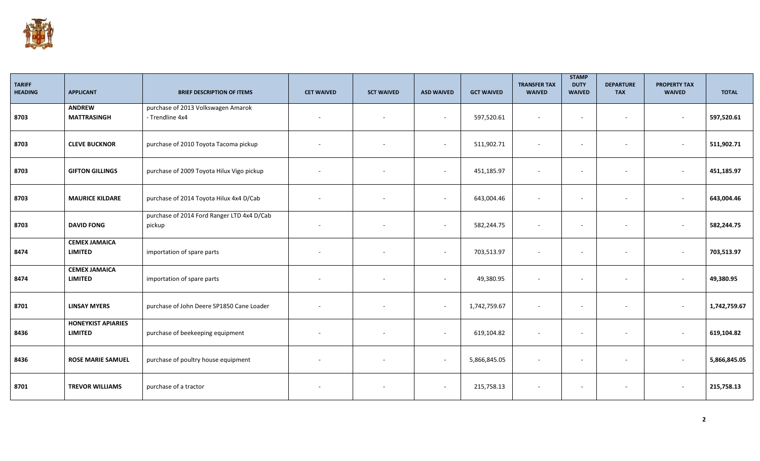

| <b>TARIFF</b><br><b>HEADING</b> | <b>APPLICANT</b>                            | <b>BRIEF DESCRIPTION OF ITEMS</b>                     | <b>CET WAIVED</b> | <b>SCT WAIVED</b>        | <b>ASD WAIVED</b>        | <b>GCT WAIVED</b> | <b>TRANSFER TAX</b><br><b>WAIVED</b> | <b>STAMP</b><br><b>DUTY</b><br><b>WAIVED</b> | <b>DEPARTURE</b><br><b>TAX</b> | <b>PROPERTY TAX</b><br><b>WAIVED</b> | <b>TOTAL</b> |
|---------------------------------|---------------------------------------------|-------------------------------------------------------|-------------------|--------------------------|--------------------------|-------------------|--------------------------------------|----------------------------------------------|--------------------------------|--------------------------------------|--------------|
| 8703                            | <b>ANDREW</b><br><b>MATTRASINGH</b>         | purchase of 2013 Volkswagen Amarok<br>- Trendline 4x4 |                   |                          | $\sim$                   | 597,520.61        |                                      | $\sim$                                       | $\sim$                         | $\sim$                               | 597,520.61   |
| 8703                            | <b>CLEVE BUCKNOR</b>                        | purchase of 2010 Toyota Tacoma pickup                 |                   |                          | $\overline{\phantom{a}}$ | 511,902.71        |                                      | $\sim$                                       | $\sim$                         | $\overline{\phantom{a}}$             | 511,902.71   |
| 8703                            | <b>GIFTON GILLINGS</b>                      | purchase of 2009 Toyota Hilux Vigo pickup             |                   |                          | $\overline{\phantom{a}}$ | 451,185.97        |                                      |                                              |                                | $\sim$                               | 451,185.97   |
| 8703                            | <b>MAURICE KILDARE</b>                      | purchase of 2014 Toyota Hilux 4x4 D/Cab               |                   |                          | $\sim$                   | 643,004.46        |                                      | $\overline{\phantom{a}}$                     | $\sim$                         | $\sim$                               | 643,004.46   |
| 8703                            | <b>DAVID FONG</b>                           | purchase of 2014 Ford Ranger LTD 4x4 D/Cab<br>pickup  |                   |                          | $\sim$                   | 582,244.75        |                                      | $\overline{\phantom{a}}$                     | $\sim$                         | $\sim$                               | 582,244.75   |
| 8474                            | <b>CEMEX JAMAICA</b><br><b>LIMITED</b>      | importation of spare parts                            |                   |                          | $\sim$                   | 703,513.97        | $\sim$                               | $\sim$                                       | $\sim$                         | $\overline{\phantom{a}}$             | 703,513.97   |
| 8474                            | <b>CEMEX JAMAICA</b><br><b>LIMITED</b>      | importation of spare parts                            |                   |                          | $\sim$                   | 49,380.95         |                                      | $\overline{\phantom{a}}$                     | $\sim$                         | $\sim$                               | 49,380.95    |
| 8701                            | <b>LINSAY MYERS</b>                         | purchase of John Deere SP1850 Cane Loader             |                   |                          | $\sim$                   | 1,742,759.67      | ÷.                                   | $\overline{\phantom{a}}$                     | $\sim$                         | $\sim$                               | 1,742,759.67 |
| 8436                            | <b>HONEYKIST APIARIES</b><br><b>LIMITED</b> | purchase of beekeeping equipment                      |                   |                          | $\sim$                   | 619,104.82        | $\overline{\phantom{a}}$             | $\overline{\phantom{a}}$                     | $\sim$                         | $\overline{\phantom{a}}$             | 619,104.82   |
| 8436                            | <b>ROSE MARIE SAMUEL</b>                    | purchase of poultry house equipment                   |                   |                          | $\sim$                   | 5,866,845.05      |                                      | $\overline{\phantom{a}}$                     | $\sim$                         | $\sim$                               | 5,866,845.05 |
| 8701                            | <b>TREVOR WILLIAMS</b>                      | purchase of a tractor                                 |                   | $\overline{\phantom{a}}$ | $\sim$                   | 215,758.13        | $\overline{\phantom{a}}$             | $\sim$                                       | $\sim$                         | $\overline{\phantom{a}}$             | 215,758.13   |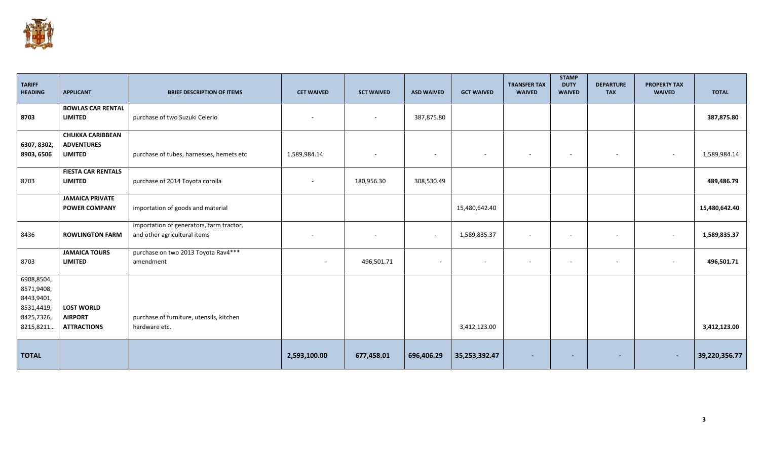

| <b>TARIFF</b><br><b>HEADING</b>                                                 | <b>APPLICANT</b>                                               | <b>BRIEF DESCRIPTION OF ITEMS</b>                                        | <b>CET WAIVED</b> | <b>SCT WAIVED</b>        | <b>ASD WAIVED</b> | <b>GCT WAIVED</b>        | <b>TRANSFER TAX</b><br><b>WAIVED</b> | <b>STAMP</b><br><b>DUTY</b><br><b>WAIVED</b> | <b>DEPARTURE</b><br><b>TAX</b> | <b>PROPERTY TAX</b><br><b>WAIVED</b> | <b>TOTAL</b>  |
|---------------------------------------------------------------------------------|----------------------------------------------------------------|--------------------------------------------------------------------------|-------------------|--------------------------|-------------------|--------------------------|--------------------------------------|----------------------------------------------|--------------------------------|--------------------------------------|---------------|
| 8703                                                                            | <b>BOWLAS CAR RENTAL</b><br><b>LIMITED</b>                     | purchase of two Suzuki Celerio                                           |                   | $\overline{\phantom{a}}$ | 387,875.80        |                          |                                      |                                              |                                |                                      | 387,875.80    |
| 6307, 8302,<br>8903, 6506                                                       | <b>CHUKKA CARIBBEAN</b><br><b>ADVENTURES</b><br><b>LIMITED</b> | purchase of tubes, harnesses, hemets etc                                 | 1,589,984.14      |                          |                   | $\overline{\phantom{a}}$ | $\overline{\phantom{a}}$             | $\overline{\phantom{a}}$                     | $\overline{\phantom{a}}$       | $\overline{\phantom{a}}$             | 1,589,984.14  |
| 8703                                                                            | <b>FIESTA CAR RENTALS</b><br><b>LIMITED</b>                    | purchase of 2014 Toyota corolla                                          |                   | 180,956.30               | 308,530.49        |                          |                                      |                                              |                                |                                      | 489,486.79    |
|                                                                                 | <b>JAMAICA PRIVATE</b><br><b>POWER COMPANY</b>                 | importation of goods and material                                        |                   |                          |                   | 15,480,642.40            |                                      |                                              |                                |                                      | 15,480,642.40 |
| 8436                                                                            | <b>ROWLINGTON FARM</b>                                         | importation of generators, farm tractor,<br>and other agricultural items |                   | $\sim$                   | $\sim$            | 1,589,835.37             | $\sim$                               | $\overline{\phantom{a}}$                     | $\overline{\phantom{a}}$       | $\sim$                               | 1,589,835.37  |
| 8703                                                                            | <b>JAMAICA TOURS</b><br><b>LIMITED</b>                         | purchase on two 2013 Toyota Rav4***<br>amendment                         | $\sim$            | 496,501.71               | $\sim$            | $\overline{\phantom{a}}$ | $\overline{\phantom{a}}$             | $\overline{\phantom{a}}$                     | $\overline{\phantom{a}}$       | $\sim$                               | 496,501.71    |
| 6908,8504,<br>8571,9408,<br>8443,9401,<br>8531,4419,<br>8425,7326,<br>8215,8211 | <b>LOST WORLD</b><br><b>AIRPORT</b><br><b>ATTRACTIONS</b>      | purchase of furniture, utensils, kitchen<br>hardware etc.                |                   |                          |                   | 3,412,123.00             |                                      |                                              |                                |                                      | 3,412,123.00  |
| <b>TOTAL</b>                                                                    |                                                                |                                                                          | 2,593,100.00      | 677,458.01               | 696,406.29        | 35,253,392.47            |                                      |                                              |                                | $\overline{\phantom{a}}$             | 39,220,356.77 |